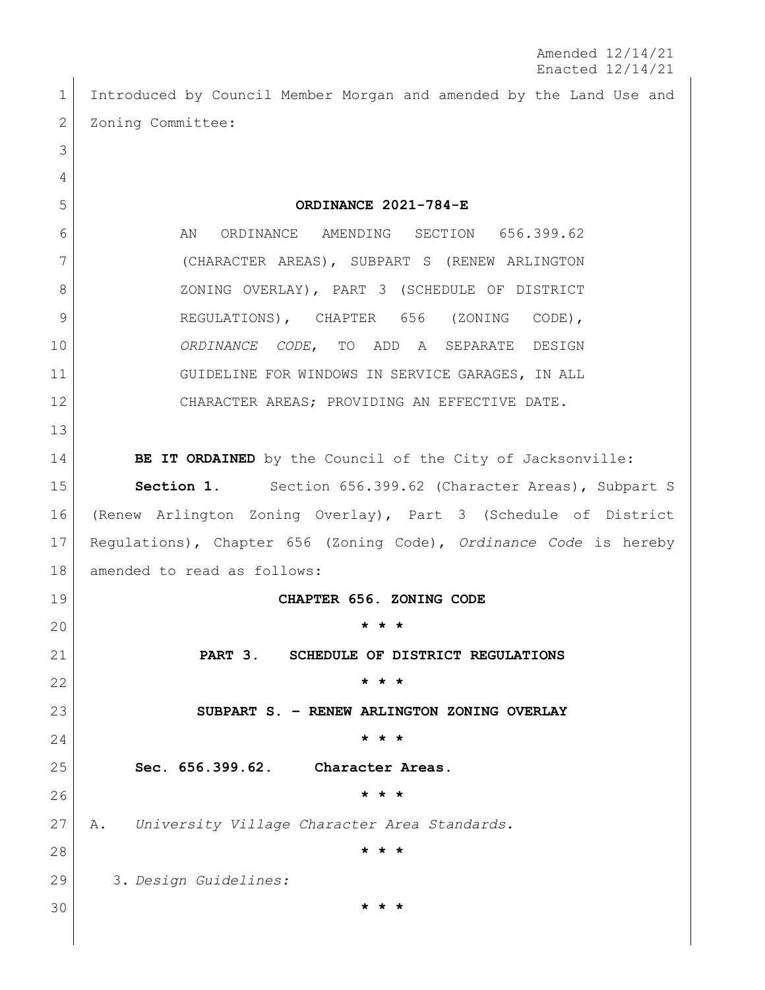Amended 12/14/21 Enacted 12/14/21

 Introduced by Council Member Morgan and amended by the Land Use and 2 Zoning Committee:

 **ORDINANCE 2021-784-E** 6 AN ORDINANCE AMENDING SECTION 656.399.62 (CHARACTER AREAS), SUBPART S (RENEW ARLINGTON 8 ZONING OVERLAY), PART 3 (SCHEDULE OF DISTRICT 9 REGULATIONS), CHAPTER 656 (ZONING CODE), *ORDINANCE CODE*, TO ADD A SEPARATE DESIGN GUIDELINE FOR WINDOWS IN SERVICE GARAGES, IN ALL 12 CHARACTER AREAS; PROVIDING AN EFFECTIVE DATE. **BE IT ORDAINED** by the Council of the City of Jacksonville: **Section 1.** Section 656.399.62 (Character Areas), Subpart S (Renew Arlington Zoning Overlay), Part 3 (Schedule of District Regulations), Chapter 656 (Zoning Code), *Ordinance Code* is hereby amended to read as follows: **CHAPTER 656. ZONING CODE \* \* \* PART 3. SCHEDULE OF DISTRICT REGULATIONS \* \* \* SUBPART S. – RENEW ARLINGTON ZONING OVERLAY \* \* \* Sec. 656.399.62. Character Areas. \* \* \*** A. *University Village Character Area Standards.* **\* \* \*** 3. *Design Guidelines:* **\* \* \***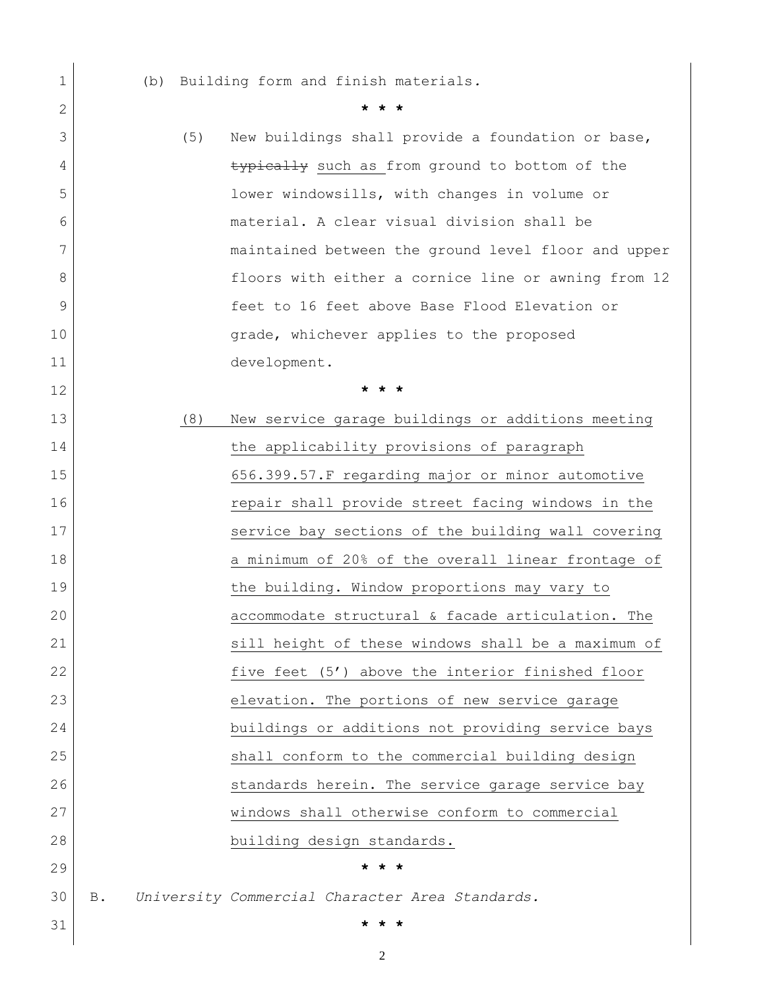| 1            |            | (b) |     | Building form and finish materials.                 |
|--------------|------------|-----|-----|-----------------------------------------------------|
| $\mathbf{2}$ |            |     |     |                                                     |
| 3            |            |     | (5) | New buildings shall provide a foundation or base,   |
| 4            |            |     |     | typically such as from ground to bottom of the      |
| 5            |            |     |     | lower windowsills, with changes in volume or        |
| 6            |            |     |     | material. A clear visual division shall be          |
| 7            |            |     |     | maintained between the ground level floor and upper |
| 8            |            |     |     | floors with either a cornice line or awning from 12 |
| 9            |            |     |     | feet to 16 feet above Base Flood Elevation or       |
| 10           |            |     |     | grade, whichever applies to the proposed            |
| 11           |            |     |     | development.                                        |
| 12           |            |     |     | * * *                                               |
| 13           |            |     | (8) | New service garage buildings or additions meeting   |
| 14           |            |     |     | the applicability provisions of paragraph           |
| 15           |            |     |     | 656.399.57.F regarding major or minor automotive    |
| 16           |            |     |     | repair shall provide street facing windows in the   |
| 17           |            |     |     | service bay sections of the building wall covering  |
| 18           |            |     |     | a minimum of 20% of the overall linear frontage of  |
| 19           |            |     |     | the building. Window proportions may vary to        |
| 20           |            |     |     | accommodate structural & facade articulation. The   |
| 21           |            |     |     | sill height of these windows shall be a maximum of  |
| 22           |            |     |     | five feet (5') above the interior finished floor    |
| 23           |            |     |     | elevation. The portions of new service garage       |
| 24           |            |     |     | buildings or additions not providing service bays   |
| 25           |            |     |     | shall conform to the commercial building design     |
| 26           |            |     |     | standards herein. The service garage service bay    |
| 27           |            |     |     | windows shall otherwise conform to commercial       |
| 28           |            |     |     | building design standards.                          |
| 29           |            |     |     | $\star$                                             |
| 30           | <b>B</b> . |     |     | University Commercial Character Area Standards.     |
| 31           |            |     |     | * * *                                               |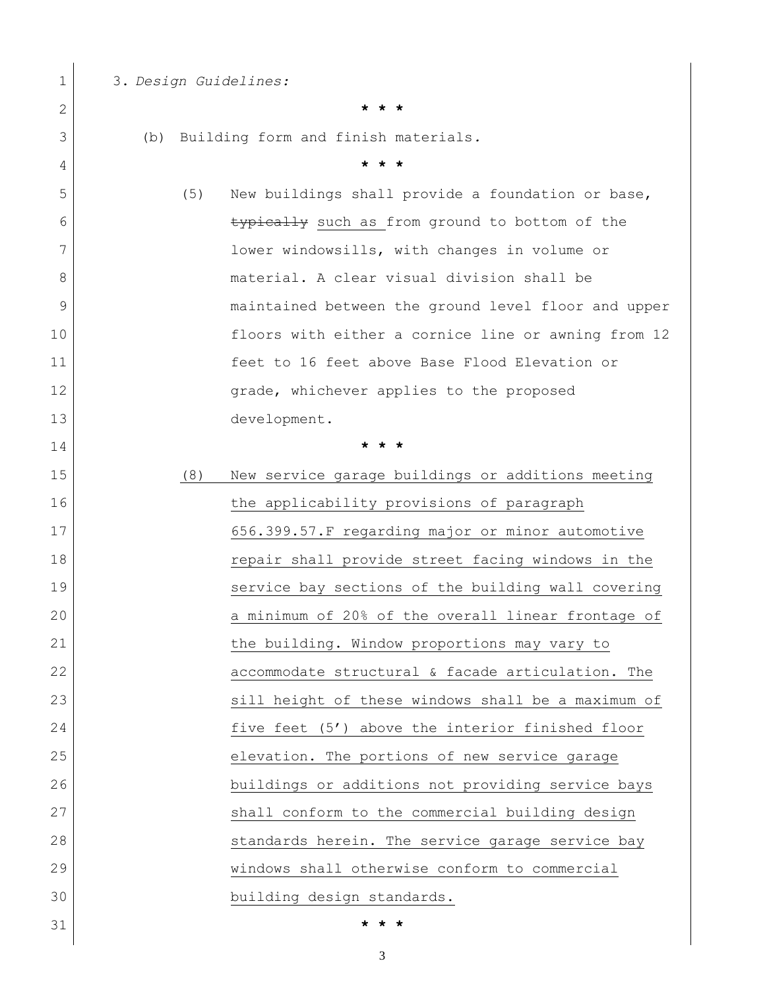| 1  |     |     | 3. Design Guidelines:                               |
|----|-----|-----|-----------------------------------------------------|
| 2  |     |     |                                                     |
| 3  | (b) |     | Building form and finish materials.                 |
| 4  |     |     | * * *                                               |
| 5  |     | (5) | New buildings shall provide a foundation or base,   |
| 6  |     |     | typically such as from ground to bottom of the      |
| 7  |     |     | lower windowsills, with changes in volume or        |
| 8  |     |     | material. A clear visual division shall be          |
| 9  |     |     | maintained between the ground level floor and upper |
| 10 |     |     | floors with either a cornice line or awning from 12 |
| 11 |     |     | feet to 16 feet above Base Flood Elevation or       |
| 12 |     |     | grade, whichever applies to the proposed            |
| 13 |     |     | development.                                        |
| 14 |     |     | * *                                                 |
| 15 |     | (8) | New service garage buildings or additions meeting   |
| 16 |     |     | the applicability provisions of paragraph           |
| 17 |     |     | 656.399.57.F regarding major or minor automotive    |
| 18 |     |     | repair shall provide street facing windows in the   |
| 19 |     |     | service bay sections of the building wall covering  |
| 20 |     |     | a minimum of 20% of the overall linear frontage of  |
| 21 |     |     | the building. Window proportions may vary to        |
| 22 |     |     | accommodate structural & facade articulation. The   |
| 23 |     |     | sill height of these windows shall be a maximum of  |
| 24 |     |     | five feet (5') above the interior finished floor    |
| 25 |     |     | elevation. The portions of new service garage       |
| 26 |     |     | buildings or additions not providing service bays   |
| 27 |     |     | shall conform to the commercial building design     |
| 28 |     |     | standards herein. The service garage service bay    |
| 29 |     |     | windows shall otherwise conform to commercial       |
| 30 |     |     | building design standards.                          |
| 31 |     |     | * * *                                               |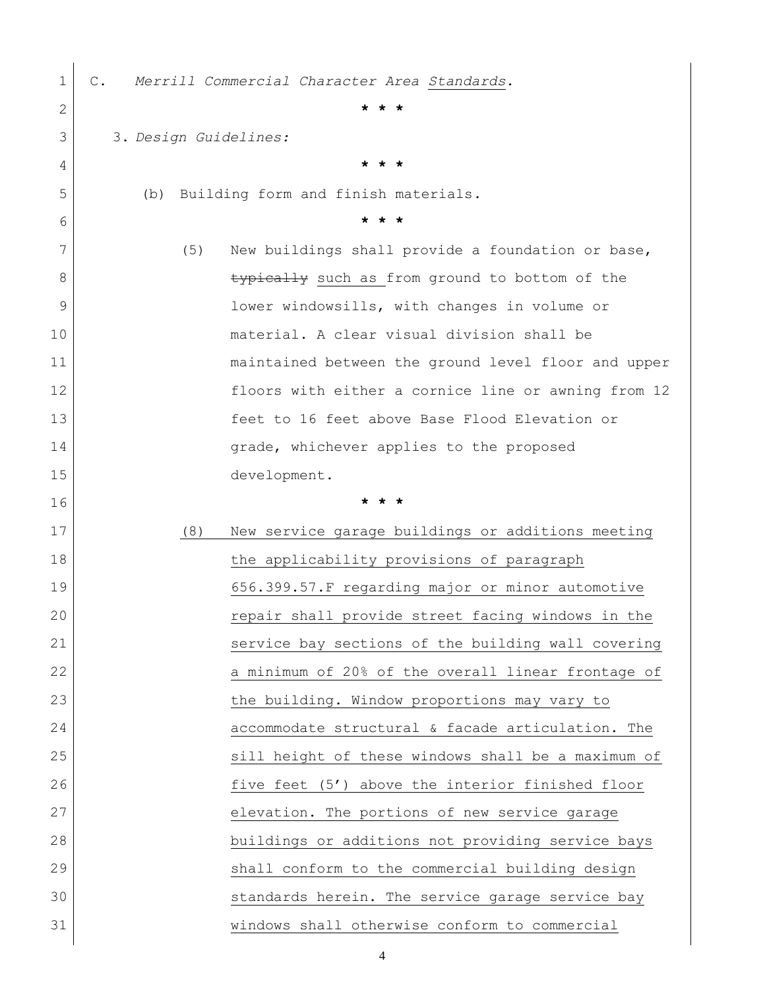| 1            | Merrill Commercial Character Area Standards.<br>$\mathbb{C}$ . |
|--------------|----------------------------------------------------------------|
| $\mathbf{2}$ |                                                                |
| 3            | 3. Design Guidelines:                                          |
| 4            |                                                                |
| 5            | Building form and finish materials.<br>(b)                     |
| 6            |                                                                |
| 7            | (5)<br>New buildings shall provide a foundation or base,       |
| 8            | typically such as from ground to bottom of the                 |
| 9            | lower windowsills, with changes in volume or                   |
| 10           | material. A clear visual division shall be                     |
| 11           | maintained between the ground level floor and upper            |
| 12           | floors with either a cornice line or awning from 12            |
| 13           | feet to 16 feet above Base Flood Elevation or                  |
| 14           | grade, whichever applies to the proposed                       |
| 15           | development.                                                   |
| 16           | * * *                                                          |
| 17           | New service garage buildings or additions meeting<br>(8)       |
| 18           | the applicability provisions of paragraph                      |
| 19           | 656.399.57.F regarding major or minor automotive               |
| 20           | repair shall provide street facing windows in the              |
| 21           | service bay sections of the building wall covering             |
| 22           | a minimum of 20% of the overall linear frontage of             |
| 23           | the building. Window proportions may vary to                   |
| 24           | accommodate structural & facade articulation. The              |
| 25           | sill height of these windows shall be a maximum of             |
| 26           | five feet (5') above the interior finished floor               |
| 27           | elevation. The portions of new service garage                  |
| 28           | buildings or additions not providing service bays              |
| 29           | shall conform to the commercial building design                |
| 30           | standards herein. The service garage service bay               |
| 31           | windows shall otherwise conform to commercial                  |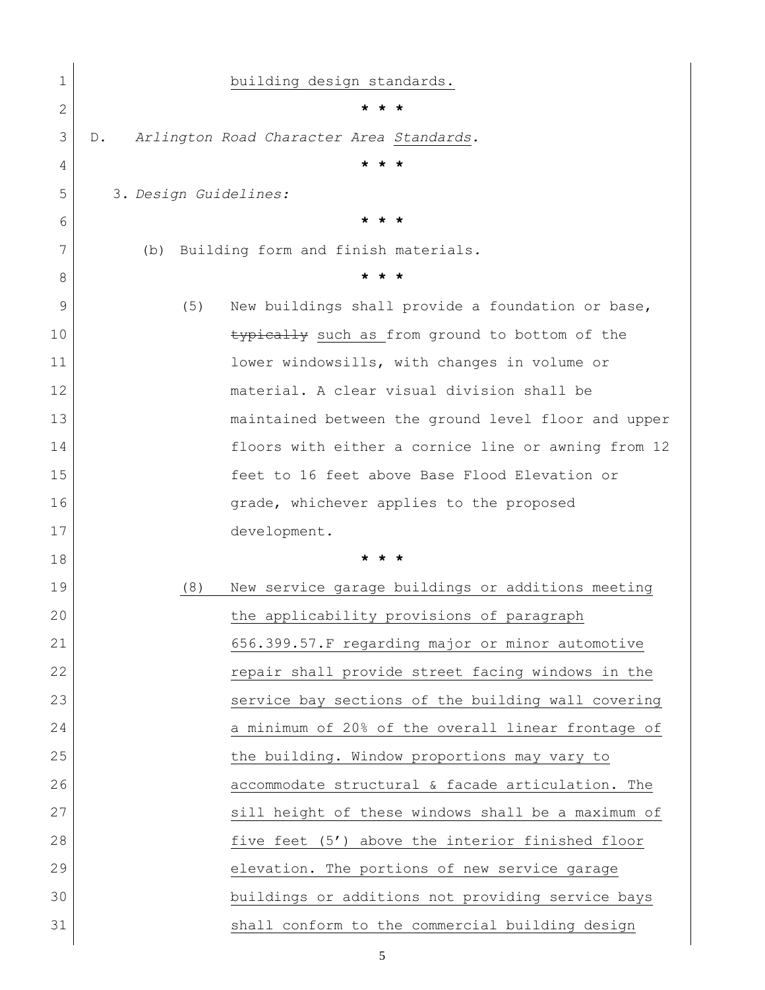| 1            | building design standards.                                                                           |
|--------------|------------------------------------------------------------------------------------------------------|
| $\mathbf{2}$ | * * *                                                                                                |
| 3            | Arlington Road Character Area Standards.<br>$D$ .                                                    |
| 4            | $\star$ $\star$                                                                                      |
| 5            | 3. Design Guidelines:                                                                                |
| 6            | $\star$ $\star$                                                                                      |
| 7            | Building form and finish materials.<br>(b)                                                           |
| 8            |                                                                                                      |
| 9            | New buildings shall provide a foundation or base,<br>(5)                                             |
| 10           | typically such as from ground to bottom of the                                                       |
| 11           | lower windowsills, with changes in volume or                                                         |
| 12           | material. A clear visual division shall be                                                           |
| 13           | maintained between the ground level floor and upper                                                  |
| 14           | floors with either a cornice line or awning from 12                                                  |
| 15           | feet to 16 feet above Base Flood Elevation or                                                        |
| 16           | grade, whichever applies to the proposed                                                             |
| 17           | development.                                                                                         |
|              |                                                                                                      |
| 18           | * * *                                                                                                |
| 19           | (8)<br>New service garage buildings or additions meeting                                             |
| 20           | the applicability provisions of paragraph                                                            |
| 21           | 656.399.57.F regarding major or minor automotive                                                     |
| 22           | repair shall provide street facing windows in the                                                    |
| 23           | service bay sections of the building wall covering                                                   |
| 24           | a minimum of 20% of the overall linear frontage of                                                   |
| 25           | the building. Window proportions may vary to                                                         |
| 26           | accommodate structural & facade articulation. The                                                    |
| 27           | sill height of these windows shall be a maximum of                                                   |
| 28           | five feet (5') above the interior finished floor                                                     |
| 29           | elevation. The portions of new service garage                                                        |
| 30           | buildings or additions not providing service bays<br>shall conform to the commercial building design |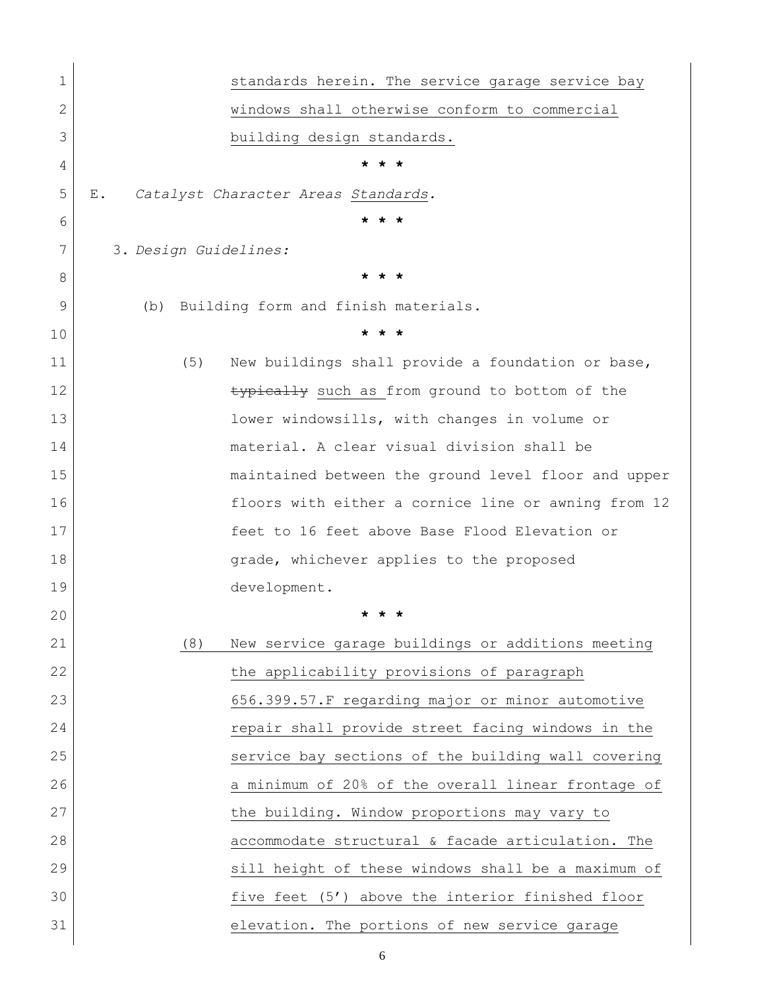| $\mathbf 1$  | standards herein. The service garage service bay         |
|--------------|----------------------------------------------------------|
| $\mathbf{2}$ | windows shall otherwise conform to commercial            |
| 3            | building design standards.                               |
| 4            |                                                          |
| 5            | Catalyst Character Areas Standards.<br>Ε.                |
| 6            | $\star$ $\star$<br>$\star$                               |
| 7            | 3. Design Guidelines:                                    |
| 8            | $\star$<br>$\star$                                       |
| 9            | (b) Building form and finish materials.                  |
| 10           | * * *                                                    |
| 11           | (5)<br>New buildings shall provide a foundation or base, |
| 12           | typically such as from ground to bottom of the           |
| 13           | lower windowsills, with changes in volume or             |
| 14           | material. A clear visual division shall be               |
| 15           | maintained between the ground level floor and upper      |
| 16           | floors with either a cornice line or awning from 12      |
| 17           | feet to 16 feet above Base Flood Elevation or            |
| 18           | grade, whichever applies to the proposed                 |
| 19           | development.                                             |
| 20           |                                                          |
| 21           | (8)<br>New service garage buildings or additions meeting |
| 22           | the applicability provisions of paragraph                |
| 23           | 656.399.57.F regarding major or minor automotive         |
| 24           | repair shall provide street facing windows in the        |
| 25           | service bay sections of the building wall covering       |
| 26           | a minimum of 20% of the overall linear frontage of       |
| 27           | the building. Window proportions may vary to             |
| 28           | accommodate structural & facade articulation. The        |
| 29           | sill height of these windows shall be a maximum of       |
| 30           | five feet (5') above the interior finished floor         |
| 31           | elevation. The portions of new service garage            |